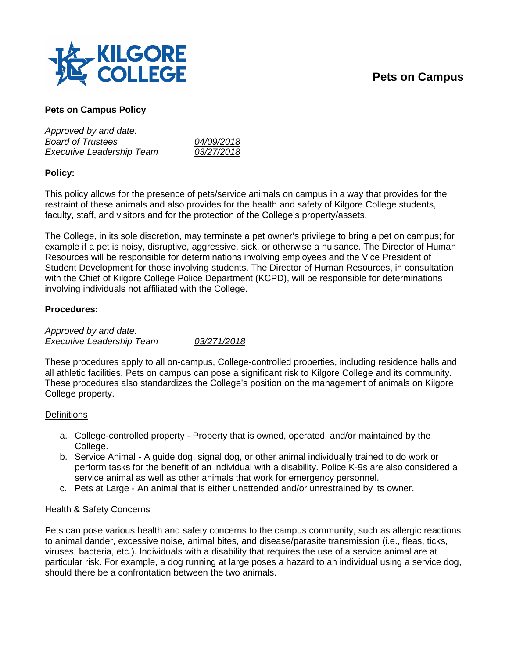# **Pets on Campus**



## **Pets on Campus Policy**

| Approved by and date:            |            |
|----------------------------------|------------|
| <b>Board of Trustees</b>         | 04/09/2018 |
| <b>Executive Leadership Team</b> | 03/27/2018 |

### **Policy:**

This policy allows for the presence of pets/service animals on campus in a way that provides for the restraint of these animals and also provides for the health and safety of Kilgore College students, faculty, staff, and visitors and for the protection of the College's property/assets.

The College, in its sole discretion, may terminate a pet owner's privilege to bring a pet on campus; for example if a pet is noisy, disruptive, aggressive, sick, or otherwise a nuisance. The Director of Human Resources will be responsible for determinations involving employees and the Vice President of Student Development for those involving students. The Director of Human Resources, in consultation with the Chief of Kilgore College Police Department (KCPD), will be responsible for determinations involving individuals not affiliated with the College.

### **Procedures:**

*Approved by and date: Executive Leadership Team 03/271/2018*

These procedures apply to all on-campus, College-controlled properties, including residence halls and all athletic facilities. Pets on campus can pose a significant risk to Kilgore College and its community. These procedures also standardizes the College's position on the management of animals on Kilgore College property.

### **Definitions**

- a. College-controlled property Property that is owned, operated, and/or maintained by the College.
- b. Service Animal A guide dog, signal dog, or other animal individually trained to do work or perform tasks for the benefit of an individual with a disability. Police K-9s are also considered a service animal as well as other animals that work for emergency personnel.
- c. Pets at Large An animal that is either unattended and/or unrestrained by its owner.

### Health & Safety Concerns

Pets can pose various health and safety concerns to the campus community, such as allergic reactions to animal dander, excessive noise, animal bites, and disease/parasite transmission (i.e., fleas, ticks, viruses, bacteria, etc.). Individuals with a disability that requires the use of a service animal are at particular risk. For example, a dog running at large poses a hazard to an individual using a service dog, should there be a confrontation between the two animals.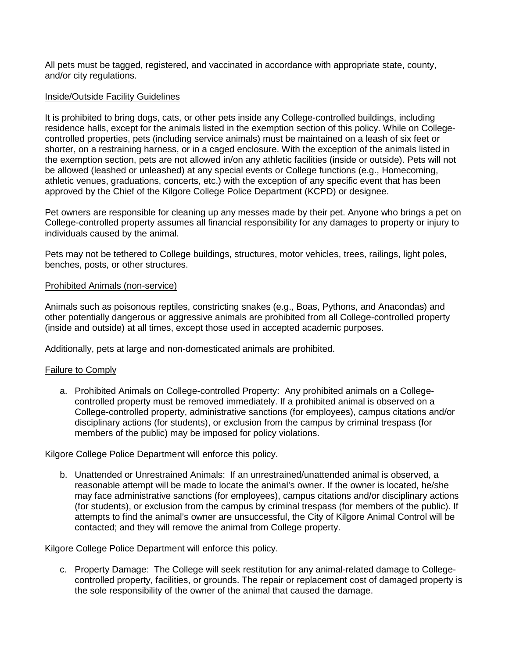All pets must be tagged, registered, and vaccinated in accordance with appropriate state, county, and/or city regulations.

#### Inside/Outside Facility Guidelines

It is prohibited to bring dogs, cats, or other pets inside any College-controlled buildings, including residence halls, except for the animals listed in the exemption section of this policy. While on Collegecontrolled properties, pets (including service animals) must be maintained on a leash of six feet or shorter, on a restraining harness, or in a caged enclosure. With the exception of the animals listed in the exemption section, pets are not allowed in/on any athletic facilities (inside or outside). Pets will not be allowed (leashed or unleashed) at any special events or College functions (e.g., Homecoming, athletic venues, graduations, concerts, etc.) with the exception of any specific event that has been approved by the Chief of the Kilgore College Police Department (KCPD) or designee.

Pet owners are responsible for cleaning up any messes made by their pet. Anyone who brings a pet on College-controlled property assumes all financial responsibility for any damages to property or injury to individuals caused by the animal.

Pets may not be tethered to College buildings, structures, motor vehicles, trees, railings, light poles, benches, posts, or other structures.

#### Prohibited Animals (non-service)

Animals such as poisonous reptiles, constricting snakes (e.g., Boas, Pythons, and Anacondas) and other potentially dangerous or aggressive animals are prohibited from all College-controlled property (inside and outside) at all times, except those used in accepted academic purposes.

Additionally, pets at large and non-domesticated animals are prohibited.

### Failure to Comply

a. Prohibited Animals on College-controlled Property: Any prohibited animals on a Collegecontrolled property must be removed immediately. If a prohibited animal is observed on a College-controlled property, administrative sanctions (for employees), campus citations and/or disciplinary actions (for students), or exclusion from the campus by criminal trespass (for members of the public) may be imposed for policy violations.

Kilgore College Police Department will enforce this policy.

b. Unattended or Unrestrained Animals: If an unrestrained/unattended animal is observed, a reasonable attempt will be made to locate the animal's owner. If the owner is located, he/she may face administrative sanctions (for employees), campus citations and/or disciplinary actions (for students), or exclusion from the campus by criminal trespass (for members of the public). If attempts to find the animal's owner are unsuccessful, the City of Kilgore Animal Control will be contacted; and they will remove the animal from College property.

Kilgore College Police Department will enforce this policy.

c. Property Damage: The College will seek restitution for any animal-related damage to Collegecontrolled property, facilities, or grounds. The repair or replacement cost of damaged property is the sole responsibility of the owner of the animal that caused the damage.